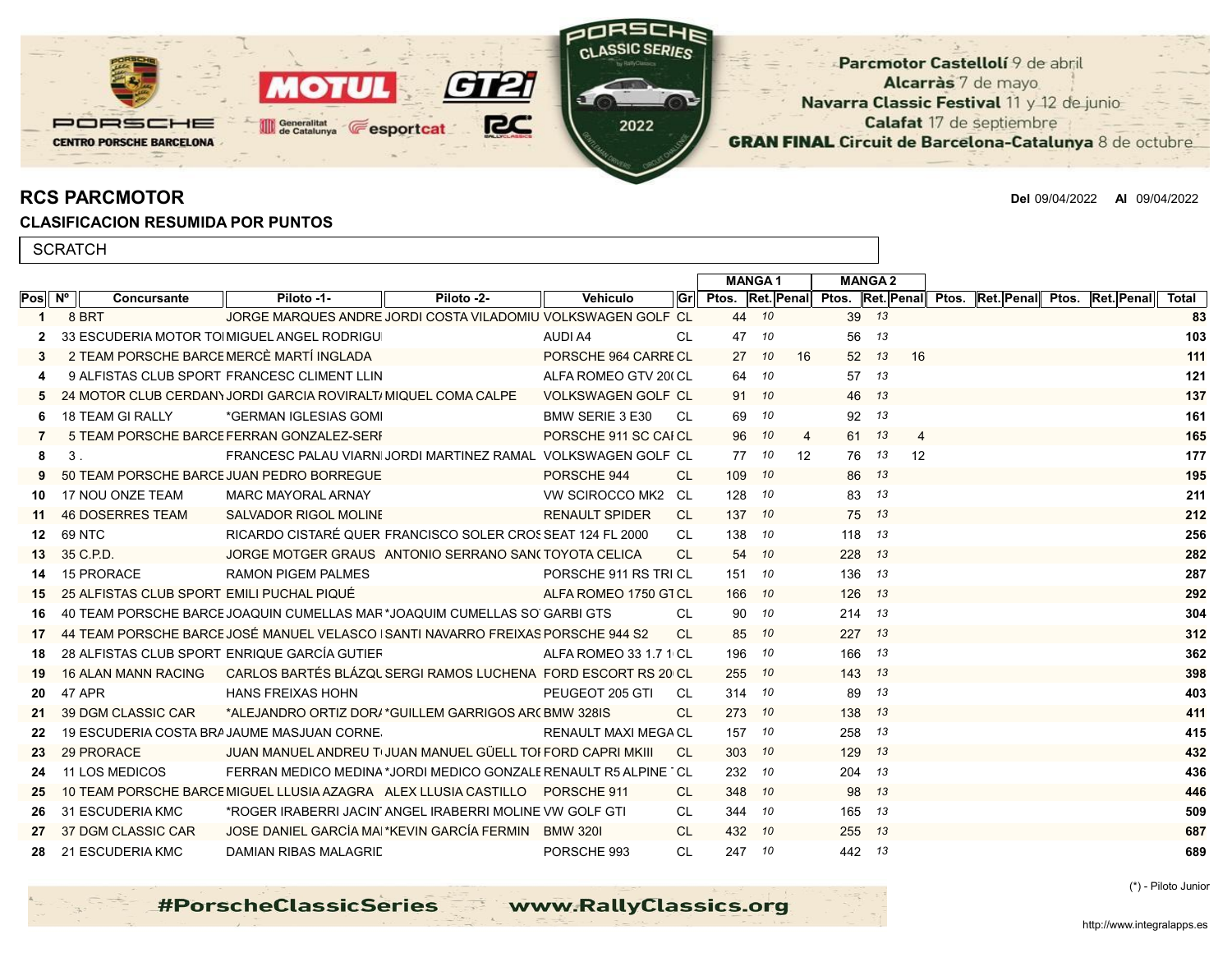

RCS PARCMOTOR Del 09/04/2022 Al 09/04/2022

## CLASIFICACION RESUMIDA POR PUNTOS

| <b>SCRATCH</b>               |  |                                           |                                                                                  |                                                               |                           |           |                  |               |    |               |                  |                                   |  |       |
|------------------------------|--|-------------------------------------------|----------------------------------------------------------------------------------|---------------------------------------------------------------|---------------------------|-----------|------------------|---------------|----|---------------|------------------|-----------------------------------|--|-------|
|                              |  |                                           |                                                                                  |                                                               |                           |           |                  | <b>MANGA1</b> |    | <b>MANGA2</b> |                  |                                   |  |       |
| $Pos \, \parallel N^{\circ}$ |  | <b>Concursante</b>                        | Piloto -1-                                                                       | Piloto -2-                                                    | <b>Vehiculo</b>           | lGr       | Ptos. Ret. Penal |               |    |               | Ptos. Ret. Penal | Ptos. Ret. Penal Ptos. Ret. Penal |  | Total |
|                              |  | 8 BRT                                     |                                                                                  | JORGE MARQUES ANDRE JORDI COSTA VILADOMIU VOLKSWAGEN GOLF CL  |                           |           | 44               | 10            |    | 39 13         |                  |                                   |  | 83    |
| $\mathbf{2}$                 |  |                                           | 33 ESCUDERIA MOTOR TO MIGUEL ANGEL RODRIGU                                       |                                                               | AUDI A4                   | CL        | 47               | 10            |    | 56            | 13               |                                   |  | 103   |
| 3                            |  |                                           | 2 TEAM PORSCHE BARCE MERCÈ MARTÍ INGLADA                                         |                                                               | PORSCHE 964 CARRECL       |           | 27               | 10            | 16 | 52 13         | 16               |                                   |  | 111   |
| 4                            |  |                                           | 9 ALFISTAS CLUB SPORT FRANCESC CLIMENT LLIN                                      |                                                               | ALFA ROMEO GTV 200 CL     |           | 64               | 10            |    | 57            | 13               |                                   |  | 121   |
|                              |  |                                           | 24 MOTOR CLUB CERDAN) JORDI GARCIA ROVIRALTI MIQUEL COMA CALPE                   |                                                               | <b>VOLKSWAGEN GOLF CL</b> |           | 91               | - 10          |    | 46 13         |                  |                                   |  | 137   |
| 6                            |  | <b>18 TEAM GI RALLY</b>                   | *GERMAN IGLESIAS GOMI                                                            |                                                               | <b>BMW SERIE 3 E30</b>    | -CL       | 69               | 10            |    | 92            | 13               |                                   |  | 161   |
|                              |  |                                           | 5 TEAM PORSCHE BARCE FERRAN GONZALEZ-SERI                                        |                                                               | PORSCHE 911 SC CAI CL     |           | 96               | 10            | 4  | 61 13         | $\overline{4}$   |                                   |  | 165   |
| 8                            |  | 3 <sub>1</sub>                            |                                                                                  | FRANCESC PALAU VIARNI JORDI MARTINEZ RAMAL VOLKSWAGEN GOLF CL |                           |           | 77               | 10            | 12 | 76            | 13<br>12         |                                   |  | 177   |
|                              |  |                                           | 50 TEAM PORSCHE BARCE JUAN PEDRO BORREGUE                                        |                                                               | PORSCHE 944               | CL.       | 109              | 10            |    | 86 13         |                  |                                   |  | 195   |
| 10.                          |  | 17 NOU ONZE TEAM                          | <b>MARC MAYORAL ARNAY</b>                                                        |                                                               | VW SCIROCCO MK2 CL        |           | 128              | 10            |    | 83            | 13               |                                   |  | 211   |
| 11                           |  | <b>46 DOSERRES TEAM</b>                   | <b>SALVADOR RIGOL MOLINE</b>                                                     |                                                               | <b>RENAULT SPIDER</b>     | CL.       |                  | 137 10        |    | 75 13         |                  |                                   |  | 212   |
| 12                           |  | 69 NTC                                    |                                                                                  | RICARDO CISTARÉ QUER FRANCISCO SOLER CROSSEAT 124 FL 2000     |                           | CL        |                  | 138 10        |    | 118           | 13               |                                   |  | 256   |
| 13                           |  | 35 C.P.D.                                 |                                                                                  | JORGE MOTGER GRAUS ANTONIO SERRANO SAN(TOYOTA CELICA          |                           | <b>CL</b> | 54               | 10            |    | 228 13        |                  |                                   |  | 282   |
| 14                           |  | 15 PRORACE                                | <b>RAMON PIGEM PALMES</b>                                                        |                                                               | PORSCHE 911 RS TRICL      |           |                  | 151 10        |    | 136 13        |                  |                                   |  | 287   |
| 15                           |  | 25 ALFISTAS CLUB SPORT EMILI PUCHAL PIQUÉ |                                                                                  |                                                               | ALFA ROMEO 1750 GTCL      |           | 166              | - 10          |    | 126 13        |                  |                                   |  | 292   |
| 16                           |  |                                           | 40 TEAM PORSCHE BARCE JOAQUIN CUMELLAS MAR *JOAQUIM CUMELLAS SO GARBI GTS        |                                                               |                           | CL        | 90               | 10            |    | 214 13        |                  |                                   |  | 304   |
| 17                           |  |                                           | 44 TEAM PORSCHE BARCE JOSÉ MANUEL VELASCO   SANTI NAVARRO FREIXAS PORSCHE 944 S2 |                                                               |                           | <b>CL</b> | 85               | 10            |    | 227 13        |                  |                                   |  | 312   |
| 18                           |  |                                           | 28 ALFISTAS CLUB SPORT ENRIQUE GARCÍA GUTIEF                                     |                                                               | ALFA ROMEO 33 1.7 1 CL    |           | 196              | 10            |    | 166           | 13               |                                   |  | 362   |
| 19                           |  | <b>16 ALAN MANN RACING</b>                | CARLOS BARTÉS BLÁZQL SERGI RAMOS LUCHENA FORD ESCORT RS 20 CL                    |                                                               |                           |           | 255              | 10            |    | 143 13        |                  |                                   |  | 398   |
| 20                           |  | 47 APR                                    | <b>HANS FREIXAS HOHN</b>                                                         |                                                               | PEUGEOT 205 GTI           | -CL       | 314              | - 10          |    | 89            | 13               |                                   |  | 403   |
| 21                           |  | 39 DGM CLASSIC CAR                        |                                                                                  | *ALEJANDRO ORTIZ DOR/ *GUILLEM GARRIGOS AR(BMW 328IS          |                           | <b>CL</b> | 273              | -10           |    | 138           | 13               |                                   |  | 411   |

**#PorscheClassicSeries** 

22 19 ESCUDERIA COSTA BRAJAUME MASJUAN CORNE<sup>S</sup> And the second the RENAULT MAXI MEGA CL 157 **10** 258 13 **258 13 415** 23 29 PRORACE JUAN MANUEL ANDREU TUJUAN MANUEL GÜELL TOI FORD CAPRI MKIII CL 303 <sup>10</sup> 129 <sup>13</sup> 432 24 11 LOS MEDICOS FERRAN MEDICO MEDINA \*JORDI MEDICO GONZALE RENAULT R5 ALPINE `CL 232 <sup>10</sup> 204 <sup>13</sup> 204 <sup>13</sup> 204 <sup>13</sup> 25 10 TEAM PORSCHE BARCE MIGUEL LLUSIA AZAGRA ALEX LLUSIA CASTILLO PORSCHE 911 CL 348 10 98 13 436 **446** 26 31 ESCUDERIA KMC \*ROGER IRABERRI JACINTANGEL IRABERRI MOLINE VW GOLF GTI CL 344 10 165 13 509 509 27 37 DGM CLASSIC CAR JOSE DANIEL GARCÍA MAI \*KEVIN GARCÍA FERMIN BMW 320I CL 432 10 255 13 687 **687** 28 21 ESCUDERIA KMC DAMIAN RIBAS MALAGRIDA PORSCHE 993 CL 247 *10* 442 *13* 689